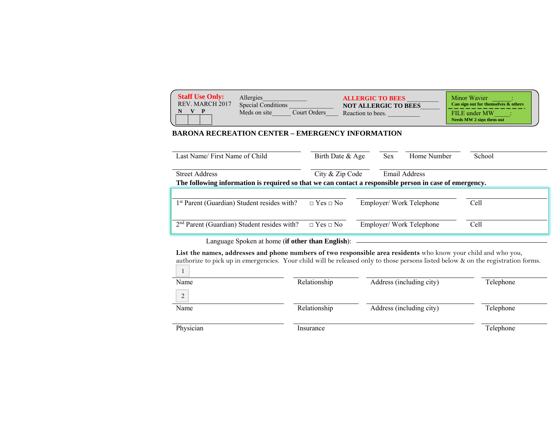| <b>Staff Use Only:</b><br>Allergies<br><b>ALLERGIC TO BEES</b><br>REV. MARCH 2017<br><b>Special Conditions</b><br><b>NOT ALLERGIC TO BEES</b><br>Meds on site<br>Court Orders<br>Reaction to bees. | <b>Minor Wavier</b><br>Can sign out for themselves $\&$ others<br>FILE under MW<br>Needs MW 2 sign them out |
|----------------------------------------------------------------------------------------------------------------------------------------------------------------------------------------------------|-------------------------------------------------------------------------------------------------------------|
|----------------------------------------------------------------------------------------------------------------------------------------------------------------------------------------------------|-------------------------------------------------------------------------------------------------------------|

## **BARONA RECREATION CENTER – EMERGENCY INFORMATION**

| Last Name/First Name of Child                                                                                                                       | Birth Date & Age     |                          | <b>Sex</b> | Home Number             | School |
|-----------------------------------------------------------------------------------------------------------------------------------------------------|----------------------|--------------------------|------------|-------------------------|--------|
| City & Zip Code<br><b>Street Address</b><br>The following information is required so that we can contact a responsible person in case of emergency. |                      |                          |            | Email Address           |        |
| 1 <sup>st</sup> Parent (Guardian) Student resides with?                                                                                             | $\Box$ Yes $\Box$ No |                          |            | Employer/Work Telephone | Cell   |
| 2 <sup>nd</sup> Parent (Guardian) Student resides with?                                                                                             | $\Box$ Yes $\Box$ No | Employer/ Work Telephone |            |                         | Cell   |

Language Spoken at home (**if other than English**):

**List the names, addresses and phone numbers of two responsible area residents** who know your child and who you, authorize to pick up in emergencies. Your child will be released only to those persons listed below & on the registration forms.

| Name           | Relationship | Address (including city) | Telephone |
|----------------|--------------|--------------------------|-----------|
| $\overline{c}$ |              |                          |           |
| Name           | Relationship | Address (including city) | Telephone |
|                |              |                          |           |
| Physician      | Insurance    |                          | Telephone |